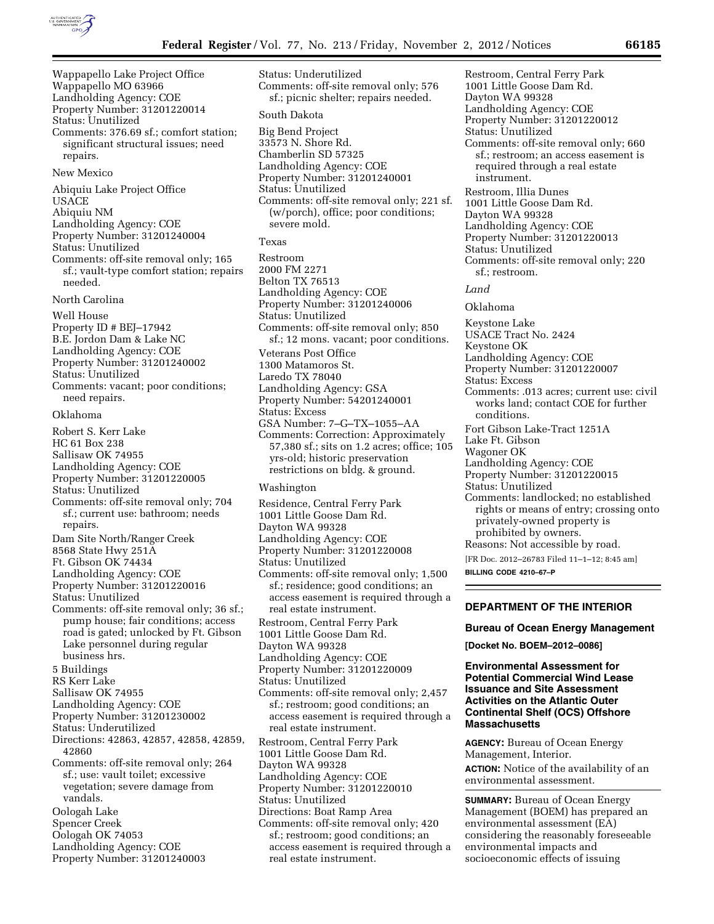

Wappapello Lake Project Office Wappapello MO 63966 Landholding Agency: COE Property Number: 31201220014 Status: Unutilized Comments: 376.69 sf.; comfort station; significant structural issues; need repairs. New Mexico Abiquiu Lake Project Office USACE Abiquiu NM Landholding Agency: COE Property Number: 31201240004 Status: Unutilized Comments: off-site removal only; 165 sf.; vault-type comfort station; repairs needed. North Carolina Well House Property ID # BEJ–17942 B.E. Jordon Dam & Lake NC Landholding Agency: COE Property Number: 31201240002 Status: Unutilized Comments: vacant; poor conditions; need repairs. Oklahoma Robert S. Kerr Lake HC 61 Box 238 Sallisaw OK 74955 Landholding Agency: COE Property Number: 31201220005 Status: Unutilized Comments: off-site removal only; 704 sf.; current use: bathroom; needs repairs. Dam Site North/Ranger Creek 8568 State Hwy 251A Ft. Gibson OK 74434 Landholding Agency: COE Property Number: 31201220016 Status: Unutilized Comments: off-site removal only; 36 sf.; pump house; fair conditions; access road is gated; unlocked by Ft. Gibson Lake personnel during regular business hrs. 5 Buildings RS Kerr Lake Sallisaw OK 74955 Landholding Agency: COE Property Number: 31201230002 Status: Underutilized Directions: 42863, 42857, 42858, 42859, 42860 Comments: off-site removal only; 264 sf.; use: vault toilet; excessive vegetation; severe damage from vandals. Oologah Lake Spencer Creek Oologah OK 74053 Landholding Agency: COE Property Number: 31201240003

Status: Underutilized Comments: off-site removal only; 576 sf.; picnic shelter; repairs needed. South Dakota Big Bend Project 33573 N. Shore Rd. Chamberlin SD 57325 Landholding Agency: COE Property Number: 31201240001

Status: Unutilized Comments: off-site removal only; 221 sf. (w/porch), office; poor conditions; severe mold.

#### Texas

Restroom 2000 FM 2271 Belton TX 76513 Landholding Agency: COE Property Number: 31201240006 Status: Unutilized Comments: off-site removal only; 850 sf.; 12 mons. vacant; poor conditions. Veterans Post Office 1300 Matamoros St. Laredo TX 78040 Landholding Agency: GSA Property Number: 54201240001 Status: Excess GSA Number: 7–G–TX–1055–AA Comments: Correction: Approximately 57,380 sf.; sits on 1.2 acres; office; 105 yrs-old; historic preservation restrictions on bldg. & ground.

### Washington

Residence, Central Ferry Park 1001 Little Goose Dam Rd. Dayton WA 99328 Landholding Agency: COE Property Number: 31201220008 Status: Unutilized Comments: off-site removal only; 1,500 sf.; residence; good conditions; an access easement is required through a real estate instrument. Restroom, Central Ferry Park 1001 Little Goose Dam Rd. Dayton WA 99328 Landholding Agency: COE Property Number: 31201220009 Status: Unutilized Comments: off-site removal only; 2,457 sf.; restroom; good conditions; an access easement is required through a real estate instrument. Restroom, Central Ferry Park 1001 Little Goose Dam Rd. Dayton WA 99328 Landholding Agency: COE Property Number: 31201220010 Status: Unutilized Directions: Boat Ramp Area Comments: off-site removal only; 420 sf.; restroom; good conditions; an access easement is required through a real estate instrument.

Restroom, Central Ferry Park 1001 Little Goose Dam Rd. Dayton WA 99328 Landholding Agency: COE Property Number: 31201220012 Status: Unutilized Comments: off-site removal only; 660 sf.; restroom; an access easement is required through a real estate instrument. Restroom, Illia Dunes 1001 Little Goose Dam Rd. Dayton WA 99328 Landholding Agency: COE Property Number: 31201220013 Status: Unutilized Comments: off-site removal only; 220 sf.; restroom. *Land*  Oklahoma Keystone Lake USACE Tract No. 2424

Keystone OK Landholding Agency: COE Property Number: 31201220007 Status: Excess Comments: .013 acres; current use: civil works land; contact COE for further conditions. Fort Gibson Lake-Tract 1251A Lake Ft. Gibson Wagoner OK Landholding Agency: COE Property Number: 31201220015 Status: Unutilized Comments: landlocked; no established rights or means of entry; crossing onto privately-owned property is prohibited by owners. Reasons: Not accessible by road. [FR Doc. 2012–26783 Filed 11–1–12; 8:45 am]

**BILLING CODE 4210–67–P** 

### **DEPARTMENT OF THE INTERIOR**

### **Bureau of Ocean Energy Management**

**[Docket No. BOEM–2012–0086]** 

# **Environmental Assessment for Potential Commercial Wind Lease Issuance and Site Assessment Activities on the Atlantic Outer Continental Shelf (OCS) Offshore Massachusetts**

**AGENCY:** Bureau of Ocean Energy Management, Interior. **ACTION:** Notice of the availability of an environmental assessment.

**SUMMARY:** Bureau of Ocean Energy Management (BOEM) has prepared an environmental assessment (EA) considering the reasonably foreseeable environmental impacts and socioeconomic effects of issuing